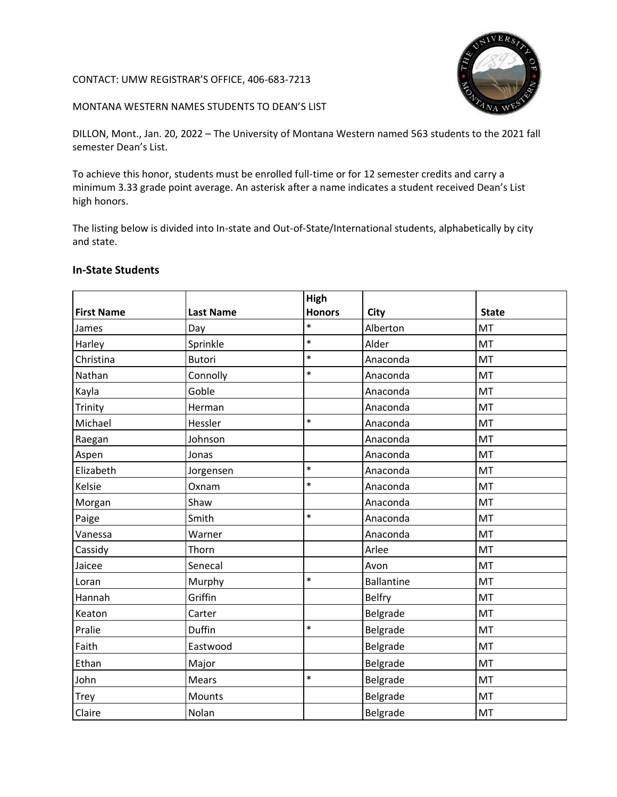## CONTACT: UMW REGISTRAR'S OFFICE, 406-683-7213



## MONTANA WESTERN NAMES STUDENTS TO DEAN'S LIST

DILLON, Mont., Jan. 20, 2022 – The University of Montana Western named 563 students to the 2021 fall semester Dean's List.

To achieve this honor, students must be enrolled full-time or for 12 semester credits and carry a minimum 3.33 grade point average. An asterisk after a name indicates a student received Dean's List high honors.

The listing below is divided into In-state and Out-of-State/International students, alphabetically by city and state.

## **In-State Students**

|                   |                  | High          |                   |              |
|-------------------|------------------|---------------|-------------------|--------------|
| <b>First Name</b> | <b>Last Name</b> | <b>Honors</b> | City              | <b>State</b> |
| James             | Day              | $\ast$        | Alberton          | MT           |
| Harley            | Sprinkle         | $\ast$        | Alder             | MT           |
| Christina         | <b>Butori</b>    | $\ast$        | Anaconda          | MT           |
| Nathan            | Connolly         | $\ast$        | Anaconda          | MT           |
| Kayla             | Goble            |               | Anaconda          | MT           |
| Trinity           | Herman           |               | Anaconda          | MT           |
| Michael           | Hessler          | $\ast$        | Anaconda          | MT           |
| Raegan            | Johnson          |               | Anaconda          | MT           |
| Aspen             | Jonas            |               | Anaconda          | MT           |
| Elizabeth         | Jorgensen        | $\ast$        | Anaconda          | MT           |
| Kelsie            | Oxnam            | $\ast$        | Anaconda          | MT           |
| Morgan            | Shaw             |               | Anaconda          | MT           |
| Paige             | Smith            | $\ast$        | Anaconda          | MT           |
| Vanessa           | Warner           |               | Anaconda          | MT           |
| Cassidy           | Thorn            |               | Arlee             | MT           |
| Jaicee            | Senecal          |               | Avon              | <b>MT</b>    |
| Loran             | Murphy           | $\ast$        | <b>Ballantine</b> | MT           |
| Hannah            | Griffin          |               | <b>Belfry</b>     | MT           |
| Keaton            | Carter           |               | Belgrade          | MT           |
| Pralie            | Duffin           | $\ast$        | Belgrade          | MT           |
| Faith             | Eastwood         |               | Belgrade          | MT           |
| Ethan             | Major            |               | Belgrade          | MT           |
| John              | Mears            | $\ast$        | Belgrade          | MT           |
| <b>Trey</b>       | Mounts           |               | Belgrade          | MT           |
| Claire            | Nolan            |               | Belgrade          | MT           |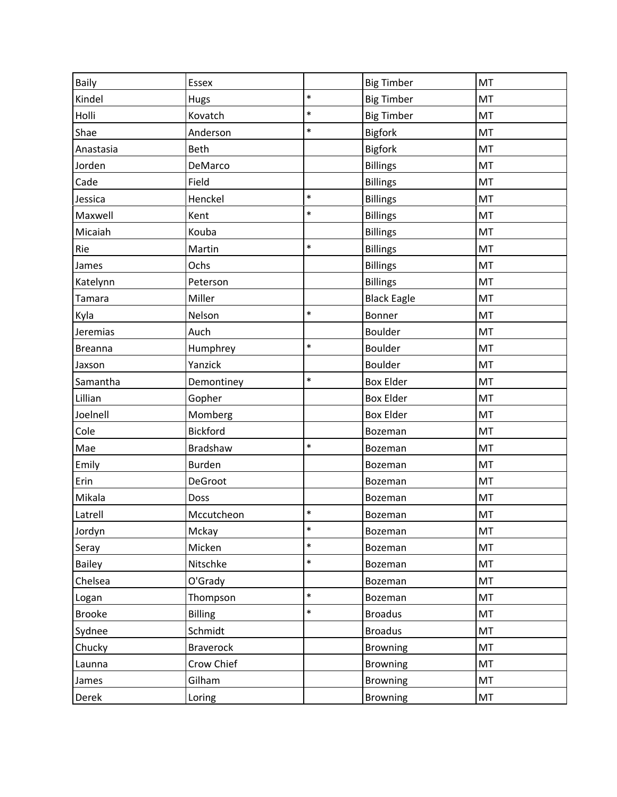| <b>Baily</b>   | Essex            |        | <b>Big Timber</b>  | MT |
|----------------|------------------|--------|--------------------|----|
| Kindel         | Hugs             | $\ast$ | <b>Big Timber</b>  | MT |
| Holli          | Kovatch          | $\ast$ | <b>Big Timber</b>  | MT |
| Shae           | Anderson         | $\ast$ | <b>Bigfork</b>     | MT |
| Anastasia      | Beth             |        | <b>Bigfork</b>     | MT |
| Jorden         | DeMarco          |        | <b>Billings</b>    | MT |
| Cade           | Field            |        | <b>Billings</b>    | MT |
| Jessica        | Henckel          | $\ast$ | <b>Billings</b>    | MT |
| Maxwell        | Kent             | $\ast$ | <b>Billings</b>    | MT |
| Micaiah        | Kouba            |        | <b>Billings</b>    | MT |
| Rie            | Martin           | $\ast$ | <b>Billings</b>    | MT |
| James          | Ochs             |        | <b>Billings</b>    | MT |
| Katelynn       | Peterson         |        | <b>Billings</b>    | MT |
| Tamara         | Miller           |        | <b>Black Eagle</b> | MT |
| Kyla           | Nelson           | $\ast$ | Bonner             | MT |
| Jeremias       | Auch             |        | <b>Boulder</b>     | MT |
| <b>Breanna</b> | Humphrey         | $\ast$ | Boulder            | MT |
| Jaxson         | Yanzick          |        | Boulder            | MT |
| Samantha       | Demontiney       | $\ast$ | <b>Box Elder</b>   | MT |
| Lillian        | Gopher           |        | <b>Box Elder</b>   | MT |
| Joelnell       | Momberg          |        | <b>Box Elder</b>   | MT |
| Cole           | <b>Bickford</b>  |        | Bozeman            | MT |
| Mae            | Bradshaw         | $\ast$ | Bozeman            | MT |
| Emily          | <b>Burden</b>    |        | Bozeman            | MT |
| Erin           | DeGroot          |        | Bozeman            | MT |
| Mikala         | Doss             |        | Bozeman            | MT |
| Latrell        | Mccutcheon       | $\ast$ | Bozeman            | MT |
| Jordyn         | Mckay            | $\ast$ | Bozeman            | MT |
| Seray          | Micken           | $\ast$ | Bozeman            | MT |
| <b>Bailey</b>  | Nitschke         | $\ast$ | Bozeman            | MT |
| Chelsea        | O'Grady          |        | Bozeman            | MT |
| Logan          | Thompson         | $\ast$ | Bozeman            | MT |
| <b>Brooke</b>  | <b>Billing</b>   | $\ast$ | <b>Broadus</b>     | MT |
| Sydnee         | Schmidt          |        | <b>Broadus</b>     | MT |
| Chucky         | <b>Braverock</b> |        | <b>Browning</b>    | MT |
| Launna         | Crow Chief       |        | <b>Browning</b>    | MT |
| James          | Gilham           |        | <b>Browning</b>    | MT |
| Derek          | Loring           |        | <b>Browning</b>    | MT |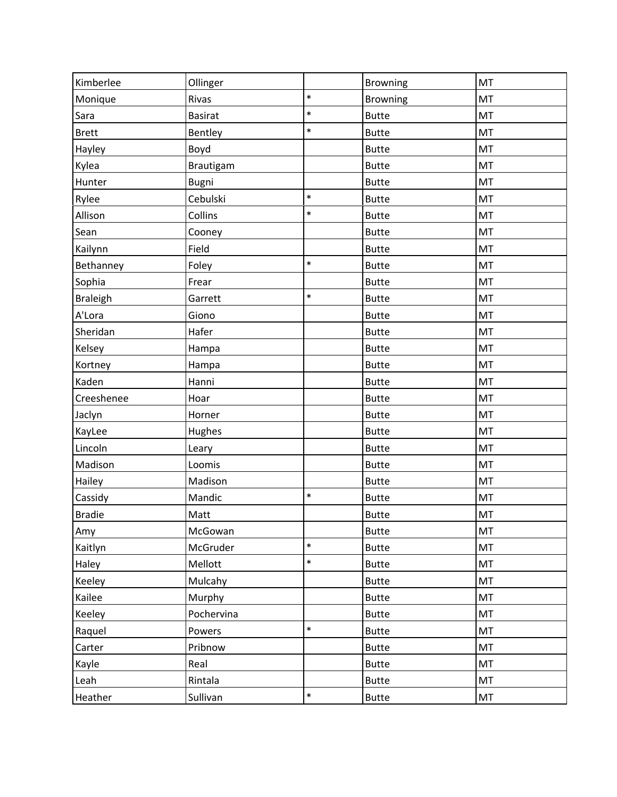| Kimberlee       | Ollinger       |        | Browning        | MT |
|-----------------|----------------|--------|-----------------|----|
| Monique         | Rivas          | $\ast$ | <b>Browning</b> | MT |
| Sara            | <b>Basirat</b> | $\ast$ | <b>Butte</b>    | MT |
| <b>Brett</b>    | Bentley        | $\ast$ | <b>Butte</b>    | MT |
| Hayley          | Boyd           |        | <b>Butte</b>    | MT |
| Kylea           | Brautigam      |        | <b>Butte</b>    | MT |
| Hunter          | Bugni          |        | <b>Butte</b>    | MT |
| Rylee           | Cebulski       | $\ast$ | <b>Butte</b>    | MT |
| Allison         | Collins        | $\ast$ | <b>Butte</b>    | MT |
| Sean            | Cooney         |        | <b>Butte</b>    | MT |
| Kailynn         | Field          |        | <b>Butte</b>    | MT |
| Bethanney       | Foley          | $\ast$ | <b>Butte</b>    | MT |
| Sophia          | Frear          |        | <b>Butte</b>    | MT |
| <b>Braleigh</b> | Garrett        | $\ast$ | <b>Butte</b>    | MT |
| A'Lora          | Giono          |        | <b>Butte</b>    | MT |
| Sheridan        | Hafer          |        | <b>Butte</b>    | MT |
| Kelsey          | Hampa          |        | <b>Butte</b>    | MT |
| Kortney         | Hampa          |        | <b>Butte</b>    | MT |
| Kaden           | Hanni          |        | <b>Butte</b>    | MT |
| Creeshenee      | Hoar           |        | <b>Butte</b>    | MT |
| Jaclyn          | Horner         |        | <b>Butte</b>    | MT |
| KayLee          | Hughes         |        | <b>Butte</b>    | MT |
| Lincoln         | Leary          |        | <b>Butte</b>    | MT |
| Madison         | Loomis         |        | <b>Butte</b>    | MT |
| Hailey          | Madison        |        | <b>Butte</b>    | MT |
| Cassidy         | Mandic         | $\ast$ | <b>Butte</b>    | MT |
| <b>Bradie</b>   | Matt           |        | <b>Butte</b>    | MT |
| Amy             | McGowan        |        | <b>Butte</b>    | MT |
| Kaitlyn         | McGruder       | $\ast$ | <b>Butte</b>    | MT |
| Haley           | Mellott        | $\ast$ | <b>Butte</b>    | MT |
| Keeley          | Mulcahy        |        | <b>Butte</b>    | MT |
| Kailee          | Murphy         |        | <b>Butte</b>    | MT |
| Keeley          | Pochervina     |        | <b>Butte</b>    | MT |
| Raquel          | Powers         | $\ast$ | <b>Butte</b>    | MT |
| Carter          | Pribnow        |        | <b>Butte</b>    | MT |
| Kayle           | Real           |        | <b>Butte</b>    | MT |
| Leah            | Rintala        |        | <b>Butte</b>    | MT |
| Heather         | Sullivan       | $\ast$ | <b>Butte</b>    | MT |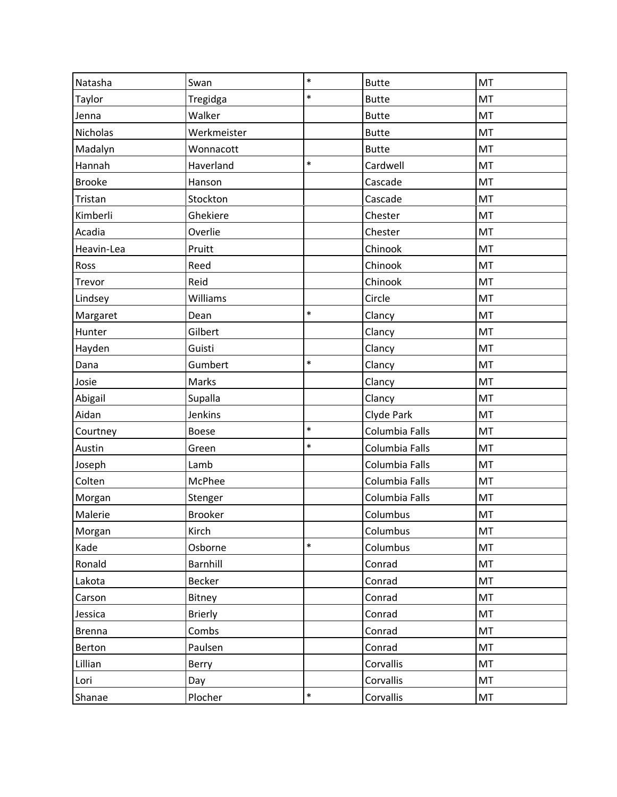| Natasha       | Swan           | $\ast$ | <b>Butte</b>   | MT |
|---------------|----------------|--------|----------------|----|
| Taylor        | Tregidga       | $\ast$ | <b>Butte</b>   | MT |
| Jenna         | Walker         |        | <b>Butte</b>   | MT |
| Nicholas      | Werkmeister    |        | <b>Butte</b>   | MT |
| Madalyn       | Wonnacott      |        | <b>Butte</b>   | MT |
| Hannah        | Haverland      | $\ast$ | Cardwell       | MT |
| <b>Brooke</b> | Hanson         |        | Cascade        | MT |
| Tristan       | Stockton       |        | Cascade        | MT |
| Kimberli      | Ghekiere       |        | Chester        | MT |
| Acadia        | Overlie        |        | Chester        | MT |
| Heavin-Lea    | Pruitt         |        | Chinook        | MT |
| Ross          | Reed           |        | Chinook        | MT |
| Trevor        | Reid           |        | Chinook        | MT |
| Lindsey       | Williams       |        | Circle         | MT |
| Margaret      | Dean           | $\ast$ | Clancy         | MT |
| Hunter        | Gilbert        |        | Clancy         | MT |
| Hayden        | Guisti         |        | Clancy         | MT |
| Dana          | Gumbert        | $\ast$ | Clancy         | MT |
| Josie         | Marks          |        | Clancy         | MT |
| Abigail       | Supalla        |        | Clancy         | MT |
| Aidan         | Jenkins        |        | Clyde Park     | MT |
| Courtney      | Boese          | $\ast$ | Columbia Falls | MT |
| Austin        | Green          | $\ast$ | Columbia Falls | MT |
| Joseph        | Lamb           |        | Columbia Falls | MT |
| Colten        | McPhee         |        | Columbia Falls | MT |
| Morgan        | Stenger        |        | Columbia Falls | MT |
| Malerie       | <b>Brooker</b> |        | Columbus       | MT |
| Morgan        | Kirch          |        | Columbus       | MT |
| Kade          | Osborne        | $\ast$ | Columbus       | MT |
| Ronald        | Barnhill       |        | Conrad         | MT |
| Lakota        | Becker         |        | Conrad         | MT |
| Carson        | Bitney         |        | Conrad         | MT |
| Jessica       | <b>Brierly</b> |        | Conrad         | MT |
| <b>Brenna</b> | Combs          |        | Conrad         | MT |
| Berton        | Paulsen        |        | Conrad         | MT |
| Lillian       | Berry          |        | Corvallis      | MT |
| Lori          | Day            |        | Corvallis      | MT |
| Shanae        | Plocher        | $\ast$ | Corvallis      | MT |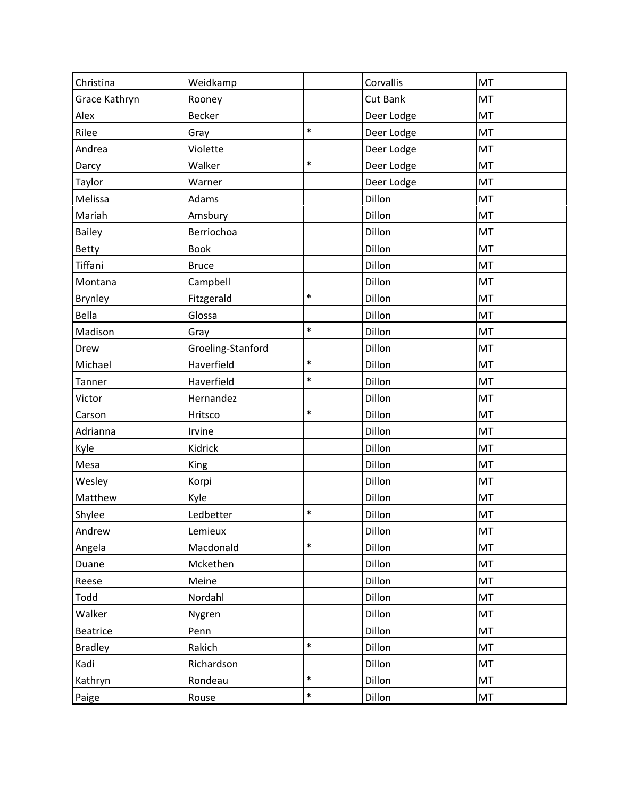| Christina      | Weidkamp          |        | Corvallis       | MT |
|----------------|-------------------|--------|-----------------|----|
| Grace Kathryn  | Rooney            |        | <b>Cut Bank</b> | MT |
| Alex           | <b>Becker</b>     |        | Deer Lodge      | MT |
| Rilee          | Gray              | $\ast$ | Deer Lodge      | MT |
| Andrea         | Violette          |        | Deer Lodge      | MT |
| Darcy          | Walker            | $\ast$ | Deer Lodge      | MT |
| Taylor         | Warner            |        | Deer Lodge      | MT |
| Melissa        | Adams             |        | Dillon          | MT |
| Mariah         | Amsbury           |        | Dillon          | MT |
| <b>Bailey</b>  | Berriochoa        |        | Dillon          | MT |
| Betty          | <b>Book</b>       |        | Dillon          | MT |
| Tiffani        | <b>Bruce</b>      |        | Dillon          | MT |
| Montana        | Campbell          |        | Dillon          | MT |
| Brynley        | Fitzgerald        | $\ast$ | Dillon          | MT |
| Bella          | Glossa            |        | Dillon          | MT |
| Madison        | Gray              | $\ast$ | Dillon          | MT |
| Drew           | Groeling-Stanford |        | Dillon          | MT |
| Michael        | Haverfield        | $\ast$ | Dillon          | MT |
| Tanner         | Haverfield        | $\ast$ | Dillon          | MT |
| Victor         | Hernandez         |        | Dillon          | MT |
| Carson         | Hritsco           | $\ast$ | Dillon          | MT |
| Adrianna       | Irvine            |        | Dillon          | MT |
| Kyle           | Kidrick           |        | Dillon          | MT |
| Mesa           | King              |        | Dillon          | MT |
| Wesley         | Korpi             |        | Dillon          | MT |
| Matthew        | Kyle              |        | Dillon          | MT |
| Shylee         | Ledbetter         | $\ast$ | Dillon          | MT |
| Andrew         | Lemieux           |        | Dillon          | MT |
| Angela         | Macdonald         | $\ast$ | Dillon          | MT |
| Duane          | Mckethen          |        | Dillon          | MT |
| Reese          | Meine             |        | Dillon          | MT |
| Todd           | Nordahl           |        | Dillon          | MT |
| Walker         | Nygren            |        | Dillon          | MT |
| Beatrice       | Penn              |        | Dillon          | MT |
| <b>Bradley</b> | Rakich            | $\ast$ | Dillon          | MT |
| Kadi           | Richardson        |        | Dillon          | MT |
| Kathryn        | Rondeau           | $\ast$ | Dillon          | MT |
| Paige          | Rouse             | $\ast$ | Dillon          | MT |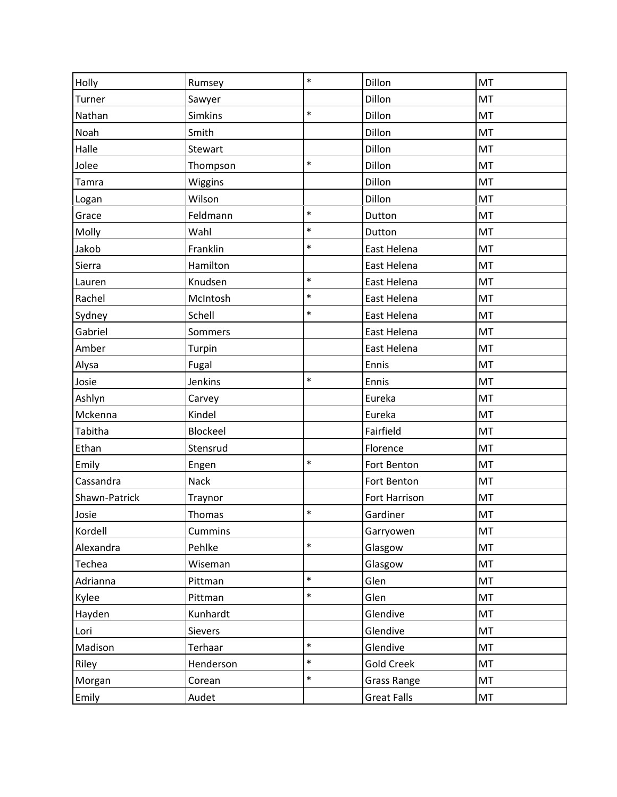|               |           | $\ast$ |                    |    |
|---------------|-----------|--------|--------------------|----|
| Holly         | Rumsey    |        | Dillon             | MT |
| Turner        | Sawyer    |        | Dillon             | MT |
| Nathan        | Simkins   | $\ast$ | Dillon             | MT |
| Noah          | Smith     |        | Dillon             | MT |
| Halle         | Stewart   |        | Dillon             | MT |
| Jolee         | Thompson  | $\ast$ | Dillon             | MT |
| Tamra         | Wiggins   |        | Dillon             | MT |
| Logan         | Wilson    |        | Dillon             | MT |
| Grace         | Feldmann  | $\ast$ | Dutton             | MT |
| Molly         | Wahl      | $\ast$ | Dutton             | MT |
| Jakob         | Franklin  | $\ast$ | East Helena        | MT |
| Sierra        | Hamilton  |        | East Helena        | MT |
| Lauren        | Knudsen   | $\ast$ | East Helena        | MT |
| Rachel        | McIntosh  | $\ast$ | East Helena        | MT |
| Sydney        | Schell    | $\ast$ | East Helena        | MT |
| Gabriel       | Sommers   |        | East Helena        | MT |
| Amber         | Turpin    |        | East Helena        | MT |
| Alysa         | Fugal     |        | Ennis              | MT |
| Josie         | Jenkins   | $\ast$ | Ennis              | MT |
| Ashlyn        | Carvey    |        | Eureka             | MT |
| Mckenna       | Kindel    |        | Eureka             | MT |
| Tabitha       | Blockeel  |        | Fairfield          | MT |
| Ethan         | Stensrud  |        | Florence           | MT |
| Emily         | Engen     | $\ast$ | Fort Benton        | MT |
| Cassandra     | Nack      |        | Fort Benton        | MT |
| Shawn-Patrick | Traynor   |        | Fort Harrison      | MT |
| Josie         | Thomas    | $\ast$ | Gardiner           | MT |
| Kordell       | Cummins   |        | Garryowen          | MT |
| Alexandra     | Pehlke    | $\ast$ | Glasgow            | MT |
| Techea        | Wiseman   |        | Glasgow            | MT |
| Adrianna      | Pittman   | $\ast$ | Glen               | MT |
| Kylee         | Pittman   | $\ast$ | Glen               | MT |
| Hayden        | Kunhardt  |        | Glendive           | MT |
| Lori          | Sievers   |        | Glendive           | MT |
| Madison       | Terhaar   | $\ast$ | Glendive           | MT |
| Riley         | Henderson | $\ast$ | <b>Gold Creek</b>  | MT |
| Morgan        | Corean    | $\ast$ | <b>Grass Range</b> | MT |
| Emily         | Audet     |        | <b>Great Falls</b> | MT |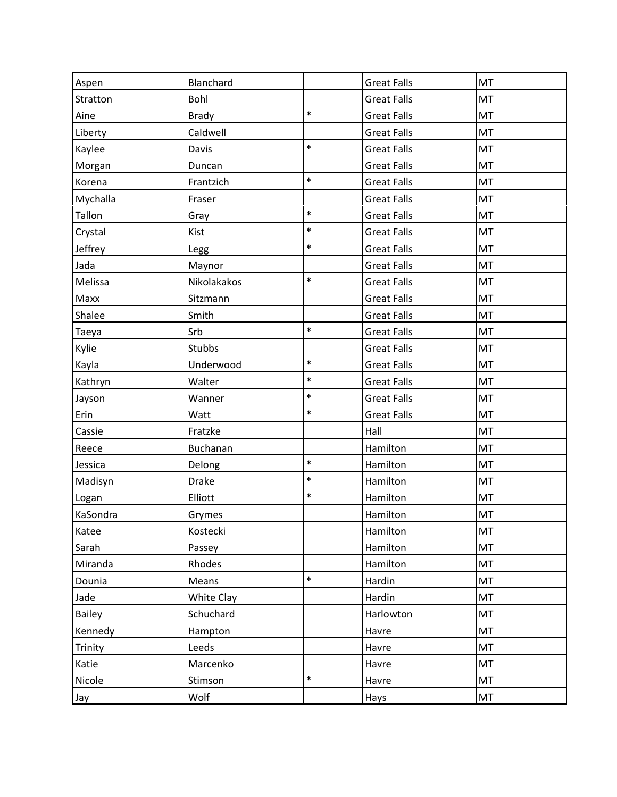| Aspen         | Blanchard    |        | <b>Great Falls</b> | MT |
|---------------|--------------|--------|--------------------|----|
| Stratton      | Bohl         |        | <b>Great Falls</b> | MT |
| Aine          | <b>Brady</b> | $\ast$ | <b>Great Falls</b> | MT |
| Liberty       | Caldwell     |        | <b>Great Falls</b> | MT |
| Kaylee        | Davis        | $\ast$ | <b>Great Falls</b> | MT |
| Morgan        | Duncan       |        | <b>Great Falls</b> | MT |
| Korena        | Frantzich    | $\ast$ | <b>Great Falls</b> | MT |
| Mychalla      | Fraser       |        | <b>Great Falls</b> | MT |
| Tallon        | Gray         | $\ast$ | <b>Great Falls</b> | MT |
| Crystal       | Kist         | $\ast$ | <b>Great Falls</b> | MT |
| Jeffrey       | Legg         | $\ast$ | <b>Great Falls</b> | MT |
| Jada          | Maynor       |        | <b>Great Falls</b> | MT |
| Melissa       | Nikolakakos  | $\ast$ | <b>Great Falls</b> | MT |
| Maxx          | Sitzmann     |        | <b>Great Falls</b> | MT |
| Shalee        | Smith        |        | <b>Great Falls</b> | MT |
| Taeya         | Srb          | $\ast$ | <b>Great Falls</b> | MT |
| Kylie         | Stubbs       |        | <b>Great Falls</b> | MT |
| Kayla         | Underwood    | $\ast$ | <b>Great Falls</b> | MT |
| Kathryn       | Walter       | $\ast$ | <b>Great Falls</b> | MT |
| Jayson        | Wanner       | $\ast$ | <b>Great Falls</b> | MT |
| Erin          | Watt         | $\ast$ | <b>Great Falls</b> | MT |
| Cassie        | Fratzke      |        | Hall               | MT |
| Reece         | Buchanan     |        | Hamilton           | MT |
| Jessica       | Delong       | $\ast$ | Hamilton           | MT |
| Madisyn       | <b>Drake</b> | $\ast$ | Hamilton           | MT |
| Logan         | Elliott      | $\ast$ | Hamilton           | MT |
| KaSondra      | Grymes       |        | Hamilton           | MT |
| Katee         | Kostecki     |        | Hamilton           | MT |
| Sarah         | Passey       |        | Hamilton           | MT |
| Miranda       | Rhodes       |        | Hamilton           | MT |
| Dounia        | Means        | $\ast$ | Hardin             | MT |
| Jade          | White Clay   |        | Hardin             | MT |
| <b>Bailey</b> | Schuchard    |        | Harlowton          | MT |
| Kennedy       | Hampton      |        | Havre              | MT |
| Trinity       | Leeds        |        | Havre              | MT |
| Katie         | Marcenko     |        | Havre              | MT |
| Nicole        | Stimson      | $\ast$ | Havre              | MT |
| Jay           | Wolf         |        | Hays               | MT |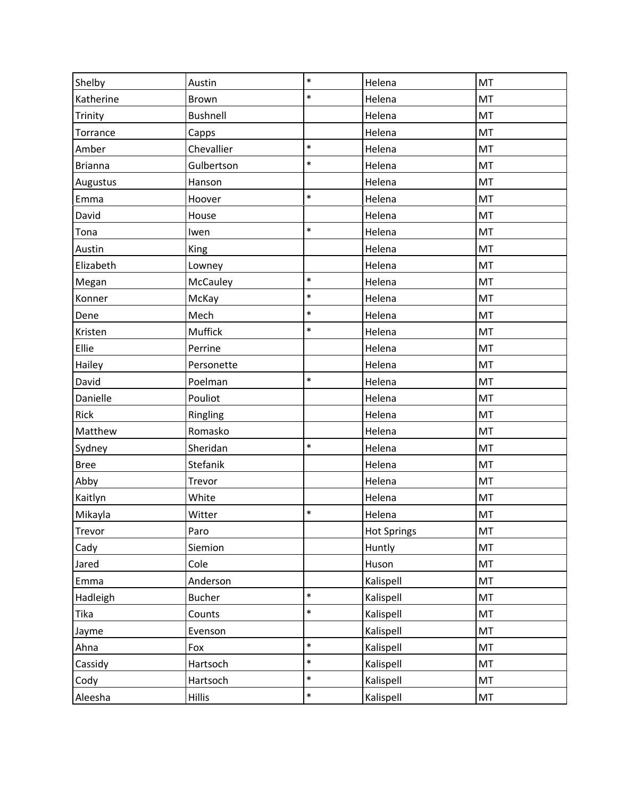| Shelby         | Austin          | $\ast$ | Helena             | <b>MT</b> |
|----------------|-----------------|--------|--------------------|-----------|
| Katherine      | <b>Brown</b>    | $\ast$ | Helena             | MT        |
| Trinity        | <b>Bushnell</b> |        | Helena             | MT        |
| Torrance       | Capps           |        | Helena             | MT        |
| Amber          | Chevallier      | $\ast$ | Helena             | MT        |
| <b>Brianna</b> | Gulbertson      | $\ast$ | Helena             | MT        |
| Augustus       | Hanson          |        | Helena             | MT        |
| Emma           | Hoover          | $\ast$ | Helena             | MT        |
| David          | House           |        | Helena             | <b>MT</b> |
| Tona           | Iwen            | $\ast$ | Helena             | MT        |
| Austin         | King            |        | Helena             | MT        |
| Elizabeth      | Lowney          |        | Helena             | MT        |
| Megan          | McCauley        | $\ast$ | Helena             | MT        |
| Konner         | McKay           | $\ast$ | Helena             | MT        |
| Dene           | Mech            | $\ast$ | Helena             | MT        |
| Kristen        | Muffick         | $\ast$ | Helena             | MT        |
| Ellie          | Perrine         |        | Helena             | MT        |
| Hailey         | Personette      |        | Helena             | MT        |
| David          | Poelman         | $\ast$ | Helena             | MT        |
| Danielle       | Pouliot         |        | Helena             | MT        |
| Rick           | Ringling        |        | Helena             | MT        |
| Matthew        | Romasko         |        | Helena             | MT        |
| Sydney         | Sheridan        | $\ast$ | Helena             | MT        |
| <b>Bree</b>    | Stefanik        |        | Helena             | MT        |
| Abby           | Trevor          |        | Helena             | MT        |
| Kaitlyn        | White           |        | Helena             | MT        |
| Mikayla        | Witter          | $\ast$ | Helena             | MT        |
| Trevor         | Paro            |        | <b>Hot Springs</b> | MT        |
| Cady           | Siemion         |        | Huntly             | MT        |
| Jared          | Cole            |        | Huson              | MT        |
| Emma           | Anderson        |        | Kalispell          | MT        |
| Hadleigh       | <b>Bucher</b>   | $\ast$ | Kalispell          | MT        |
| Tika           | Counts          | $\ast$ | Kalispell          | MT        |
| Jayme          | Evenson         |        | Kalispell          | MT        |
| Ahna           | Fox             | $\ast$ | Kalispell          | MT        |
| Cassidy        | Hartsoch        | $\ast$ | Kalispell          | MT        |
| Cody           | Hartsoch        | $\ast$ | Kalispell          | MT        |
| Aleesha        | <b>Hillis</b>   | $\ast$ | Kalispell          | MT        |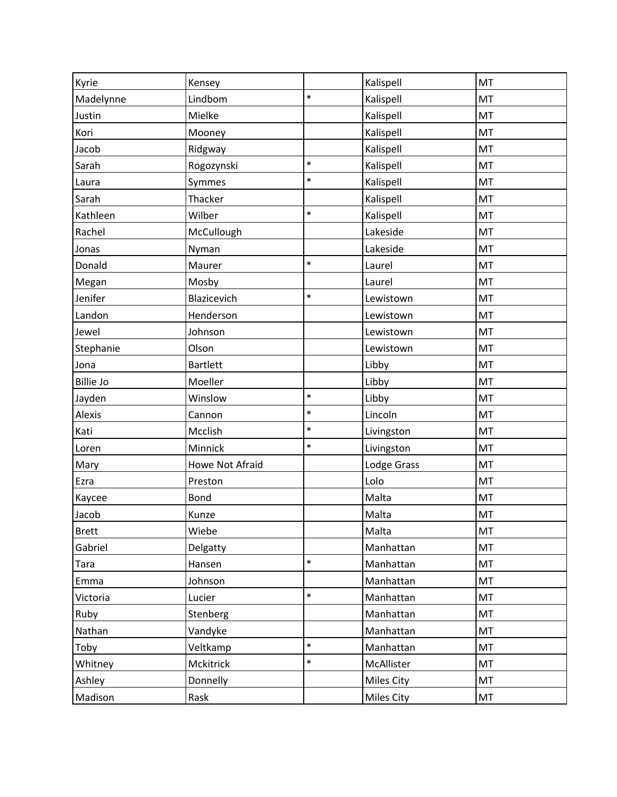| Kyrie            | Kensey          |        | Kalispell         | MT        |
|------------------|-----------------|--------|-------------------|-----------|
| Madelynne        | Lindbom         | $\ast$ | Kalispell         | MT        |
| Justin           | Mielke          |        | Kalispell         | MT        |
| Kori             | Mooney          |        | Kalispell         | MT        |
| Jacob            | Ridgway         |        | Kalispell         | MT        |
| Sarah            | Rogozynski      | $\ast$ | Kalispell         | MT        |
| Laura            | Symmes          | $\ast$ | Kalispell         | MT        |
| Sarah            | Thacker         |        | Kalispell         | MT        |
| Kathleen         | Wilber          | $\ast$ | Kalispell         | MT        |
| Rachel           | McCullough      |        | Lakeside          | MT        |
| Jonas            | Nyman           |        | Lakeside          | MT        |
| Donald           | Maurer          | $\ast$ | Laurel            | MT        |
| Megan            | Mosby           |        | Laurel            | MT        |
| Jenifer          | Blazicevich     | $\ast$ | Lewistown         | MT        |
| Landon           | Henderson       |        | Lewistown         | MT        |
| Jewel            | Johnson         |        | Lewistown         | MT        |
| Stephanie        | Olson           |        | Lewistown         | MT        |
| Jona             | <b>Bartlett</b> |        | Libby             | MT        |
| <b>Billie Jo</b> | Moeller         |        | Libby             | MT        |
| Jayden           | Winslow         | $\ast$ | Libby             | MT        |
| Alexis           | Cannon          | $\ast$ | Lincoln           | MT        |
| Kati             | Mcclish         | $\ast$ | Livingston        | MT        |
| Loren            | Minnick         | $\ast$ | Livingston        | MT        |
| Mary             | Howe Not Afraid |        | Lodge Grass       | MT        |
| Ezra             | Preston         |        | Lolo              | MT        |
| Kaycee           | <b>Bond</b>     |        | Malta             | MT        |
| Jacob            | Kunze           |        | Malta             | MT        |
| <b>Brett</b>     | Wiebe           |        | Malta             | MT        |
| Gabriel          | Delgatty        |        | Manhattan         | MT        |
| Tara             | Hansen          | $\ast$ | Manhattan         | MT        |
| Emma             | Johnson         |        | Manhattan         | MT        |
| Victoria         | Lucier          | $\ast$ | Manhattan         | MT        |
| Ruby             | Stenberg        |        | Manhattan         | <b>MT</b> |
| Nathan           | Vandyke         |        | Manhattan         | MT        |
| Toby             | Veltkamp        | $\ast$ | Manhattan         | MT        |
| Whitney          | Mckitrick       | $\ast$ | McAllister        | MT        |
| Ashley           | Donnelly        |        | <b>Miles City</b> | MT        |
| Madison          | Rask            |        | Miles City        | MT        |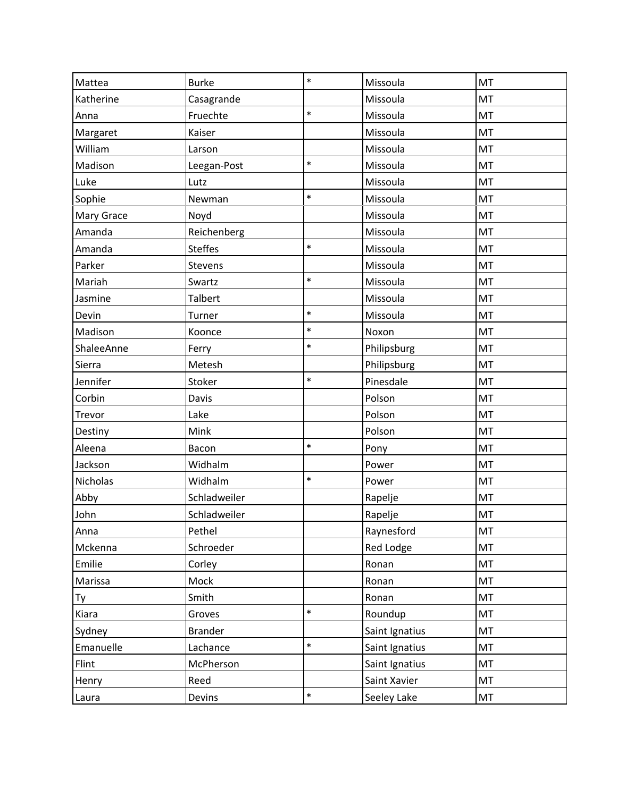| Mattea     | <b>Burke</b>   | $\ast$ | Missoula       | MT |
|------------|----------------|--------|----------------|----|
| Katherine  | Casagrande     |        | Missoula       | MT |
| Anna       | Fruechte       | $\ast$ | Missoula       | MT |
| Margaret   | Kaiser         |        | Missoula       | MT |
| William    | Larson         |        | Missoula       | MT |
| Madison    | Leegan-Post    | $\ast$ | Missoula       | MT |
| Luke       | Lutz           |        | Missoula       | MT |
| Sophie     | Newman         | $\ast$ | Missoula       | MT |
| Mary Grace | Noyd           |        | Missoula       | MT |
| Amanda     | Reichenberg    |        | Missoula       | MT |
| Amanda     | <b>Steffes</b> | $\ast$ | Missoula       | MT |
| Parker     | Stevens        |        | Missoula       | MT |
| Mariah     | Swartz         | $\ast$ | Missoula       | MT |
| Jasmine    | Talbert        |        | Missoula       | MT |
| Devin      | Turner         | $\ast$ | Missoula       | MT |
| Madison    | Koonce         | $\ast$ | Noxon          | MT |
| ShaleeAnne | Ferry          | $\ast$ | Philipsburg    | MT |
| Sierra     | Metesh         |        | Philipsburg    | MT |
| Jennifer   | Stoker         | $\ast$ | Pinesdale      | MT |
| Corbin     | Davis          |        | Polson         | MT |
| Trevor     | Lake           |        | Polson         | MT |
| Destiny    | Mink           |        | Polson         | MT |
| Aleena     | Bacon          | $\ast$ | Pony           | MT |
| Jackson    | Widhalm        |        | Power          | MT |
| Nicholas   | Widhalm        | $\ast$ | Power          | MT |
| Abby       | Schladweiler   |        | Rapelje        | MT |
| John       | Schladweiler   |        | Rapelje        | MT |
| Anna       | Pethel         |        | Raynesford     | MT |
| Mckenna    | Schroeder      |        | Red Lodge      | MT |
| Emilie     | Corley         |        | Ronan          | MT |
| Marissa    | Mock           |        | Ronan          | MT |
| Ty         | Smith          |        | Ronan          | MT |
| Kiara      | Groves         | $\ast$ | Roundup        | MT |
| Sydney     | <b>Brander</b> |        | Saint Ignatius | MT |
| Emanuelle  | Lachance       | $\ast$ | Saint Ignatius | MT |
| Flint      | McPherson      |        | Saint Ignatius | MT |
| Henry      | Reed           |        | Saint Xavier   | MT |
| Laura      | Devins         | $\ast$ | Seeley Lake    | MT |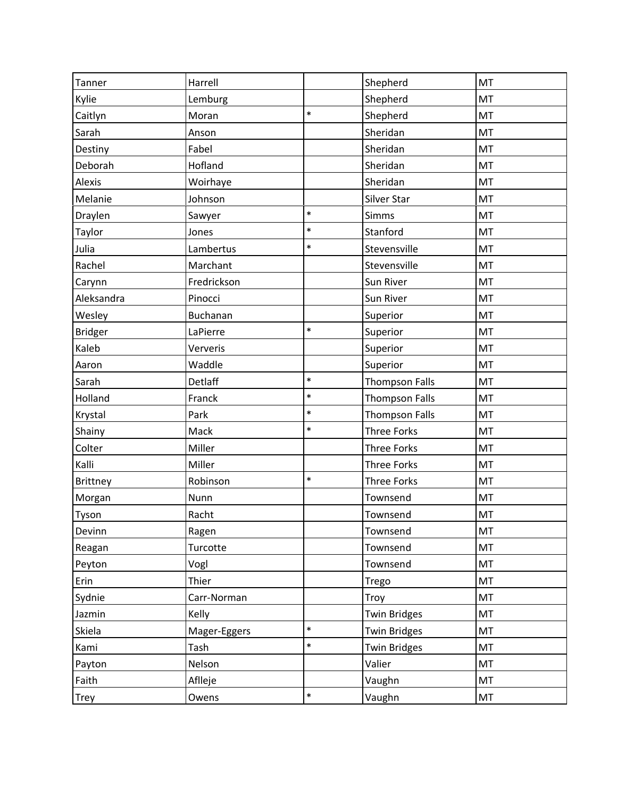| Tanner          | Harrell      |        | Shepherd              | MT |
|-----------------|--------------|--------|-----------------------|----|
| Kylie           | Lemburg      |        | Shepherd              | MT |
| Caitlyn         | Moran        | $\ast$ | Shepherd              | MT |
| Sarah           | Anson        |        | Sheridan              | MT |
| Destiny         | Fabel        |        | Sheridan              | MT |
| Deborah         | Hofland      |        | Sheridan              | MT |
| Alexis          | Woirhaye     |        | Sheridan              | MT |
| Melanie         | Johnson      |        | Silver Star           | MT |
| Draylen         | Sawyer       | $\ast$ | Simms                 | MT |
| Taylor          | Jones        | $\ast$ | Stanford              | MT |
| Julia           | Lambertus    | *      | Stevensville          | MT |
| Rachel          | Marchant     |        | Stevensville          | MT |
| Carynn          | Fredrickson  |        | Sun River             | MT |
| Aleksandra      | Pinocci      |        | Sun River             | MT |
| Wesley          | Buchanan     |        | Superior              | MT |
| <b>Bridger</b>  | LaPierre     | $\ast$ | Superior              | MT |
| Kaleb           | Ververis     |        | Superior              | MT |
| Aaron           | Waddle       |        | Superior              | MT |
| Sarah           | Detlaff      | $\ast$ | <b>Thompson Falls</b> | MT |
| Holland         | Franck       | $\ast$ | <b>Thompson Falls</b> | MT |
| Krystal         | Park         | $\ast$ | <b>Thompson Falls</b> | MT |
| Shainy          | Mack         | $\ast$ | <b>Three Forks</b>    | MT |
| Colter          | Miller       |        | <b>Three Forks</b>    | MT |
| Kalli           | Miller       |        | Three Forks           | MT |
| <b>Brittney</b> | Robinson     | $\ast$ | Three Forks           | MT |
| Morgan          | Nunn         |        | Townsend              | MT |
| Tyson           | Racht        |        | Townsend              | MT |
| Devinn          | Ragen        |        | Townsend              | MT |
| Reagan          | Turcotte     |        | Townsend              | MT |
| Peyton          | Vogl         |        | Townsend              | MT |
| Erin            | Thier        |        | Trego                 | MT |
| Sydnie          | Carr-Norman  |        | Troy                  | MT |
| Jazmin          | Kelly        |        | <b>Twin Bridges</b>   | MT |
| Skiela          | Mager-Eggers | $\ast$ | <b>Twin Bridges</b>   | MT |
| Kami            | Tash         | $\ast$ | <b>Twin Bridges</b>   | MT |
| Payton          | Nelson       |        | Valier                | MT |
| Faith           | Aflleje      |        | Vaughn                | MT |
| Trey            | Owens        | $\ast$ | Vaughn                | MT |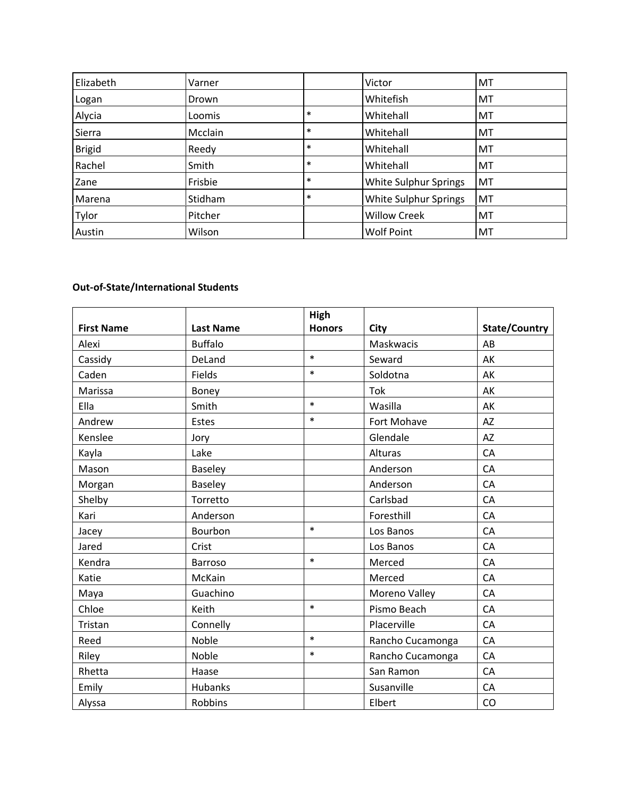| Elizabeth     | Varner  |        | Victor                | <b>MT</b> |
|---------------|---------|--------|-----------------------|-----------|
| Logan         | Drown   |        | Whitefish             | <b>MT</b> |
| Alycia        | Loomis  | $\ast$ | Whitehall             | MT        |
| Sierra        | Mcclain | $\ast$ | Whitehall             | <b>MT</b> |
| <b>Brigid</b> | Reedy   | $\ast$ | Whitehall             | <b>MT</b> |
| Rachel        | Smith   | $\ast$ | Whitehall             | MT        |
| Zane          | Frisbie | $\ast$ | White Sulphur Springs | MT        |
| Marena        | Stidham | $\ast$ | White Sulphur Springs | MT        |
| Tylor         | Pitcher |        | <b>Willow Creek</b>   | <b>MT</b> |
| Austin        | Wilson  |        | <b>Wolf Point</b>     | <b>MT</b> |

## **Out-of-State/International Students**

|                   |                  | High          |                  |               |
|-------------------|------------------|---------------|------------------|---------------|
| <b>First Name</b> | <b>Last Name</b> | <b>Honors</b> | City             | State/Country |
| Alexi             | <b>Buffalo</b>   |               | Maskwacis        | AB            |
| Cassidy           | DeLand           | $\ast$        | Seward           | AK            |
| Caden             | Fields           | $\ast$        | Soldotna         | AK            |
| Marissa           | Boney            |               | Tok              | AK            |
| Ella              | Smith            | $\ast$        | Wasilla          | AK            |
| Andrew            | Estes            | $\ast$        | Fort Mohave      | <b>AZ</b>     |
| Kenslee           | Jory             |               | Glendale         | AZ            |
| Kayla             | Lake             |               | Alturas          | CA            |
| Mason             | <b>Baseley</b>   |               | Anderson         | CA            |
| Morgan            | Baseley          |               | Anderson         | CA            |
| Shelby            | Torretto         |               | Carlsbad         | CA            |
| Kari              | Anderson         |               | Foresthill       | CA            |
| Jacey             | Bourbon          | $\ast$        | Los Banos        | CA            |
| Jared             | Crist            |               | Los Banos        | CA            |
| Kendra            | Barroso          | $\ast$        | Merced           | CA            |
| Katie             | McKain           |               | Merced           | CA            |
| Maya              | Guachino         |               | Moreno Valley    | CA            |
| Chloe             | Keith            | $\ast$        | Pismo Beach      | CA            |
| Tristan           | Connelly         |               | Placerville      | CA            |
| Reed              | Noble            | $\ast$        | Rancho Cucamonga | CA            |
| Riley             | Noble            | $\ast$        | Rancho Cucamonga | CA            |
| Rhetta            | Haase            |               | San Ramon        | CA            |
| Emily             | <b>Hubanks</b>   |               | Susanville       | CA            |
| Alyssa            | Robbins          |               | Elbert           | CO            |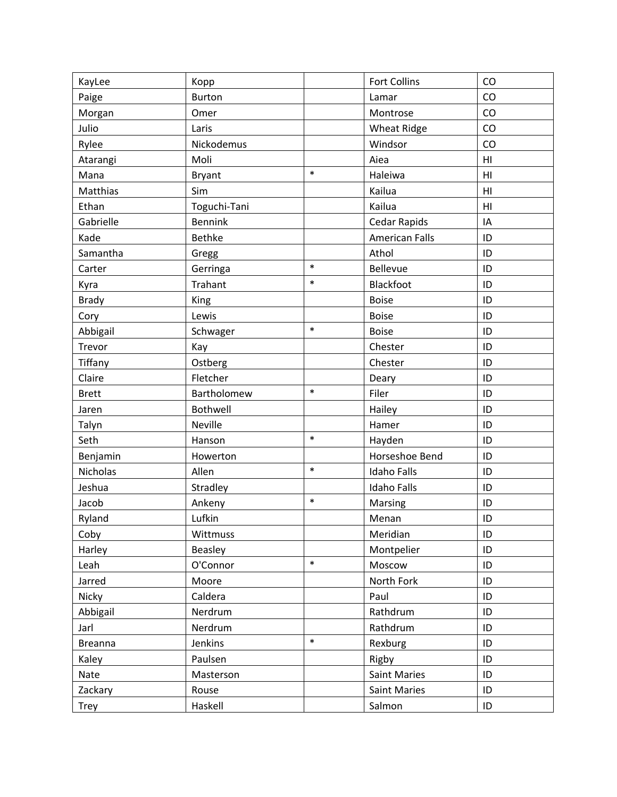| <b>Fort Collins</b><br>CO<br>Kopp<br>KayLee                  |    |
|--------------------------------------------------------------|----|
| Paige<br><b>Burton</b><br>Lamar                              | CO |
| Omer<br>Morgan<br>Montrose                                   | CO |
| Julio<br>CO<br><b>Wheat Ridge</b><br>Laris                   |    |
| Nickodemus<br>Windsor<br>Rylee                               | CO |
| Moli<br>Aiea<br>Atarangi<br>H <sub>l</sub>                   |    |
| $\ast$<br>Haleiwa<br>H <sub>l</sub><br>Mana<br><b>Bryant</b> |    |
| Kailua<br>Matthias<br>Sim<br>H <sub>l</sub>                  |    |
| Toguchi-Tani<br>Kailua<br>Ethan<br>H <sub>l</sub>            |    |
| Gabrielle<br><b>Bennink</b><br>Cedar Rapids<br>IA            |    |
| <b>American Falls</b><br>Bethke<br>ID<br>Kade                |    |
| Athol<br>Samantha<br>ID<br>Gregg                             |    |
| $\ast$<br>Bellevue<br>Gerringa<br>ID<br>Carter               |    |
| $\ast$<br>Trahant<br>Blackfoot<br>ID<br>Kyra                 |    |
| <b>Boise</b><br><b>Brady</b><br>King<br>ID                   |    |
| Lewis<br><b>Boise</b><br>Cory<br>ID                          |    |
| $\ast$<br>Abbigail<br><b>Boise</b><br>ID<br>Schwager         |    |
| Trevor<br>Chester<br>ID<br>Kay                               |    |
| Tiffany<br>Ostberg<br>Chester<br>ID                          |    |
| Claire<br>Fletcher<br>ID<br>Deary                            |    |
| $\ast$<br>Filer<br>Bartholomew<br>ID<br><b>Brett</b>         |    |
| Bothwell<br>Hailey<br>ID<br>Jaren                            |    |
| Neville<br>Hamer<br>ID<br>Talyn                              |    |
| $\ast$<br>Seth<br>ID<br>Hanson<br>Hayden                     |    |
| Benjamin<br>Horseshoe Bend<br>Howerton<br>ID                 |    |
| $\ast$<br>Nicholas<br>Allen<br><b>Idaho Falls</b><br>ID      |    |
| Jeshua<br><b>Idaho Falls</b><br>Stradley<br>ID               |    |
| $\ast$<br>Jacob<br>Ankeny<br>Marsing<br>ID                   |    |
| Lufkin<br>Ryland<br>ID<br>Menan                              |    |
| Meridian<br>Coby<br>Wittmuss<br>ID                           |    |
| Montpelier<br>Harley<br>Beasley<br>ID                        |    |
| $\ast$<br>O'Connor<br>Moscow<br>Leah<br>ID                   |    |
| North Fork<br>Jarred<br>Moore<br>ID                          |    |
| Caldera<br>Nicky<br>Paul<br>ID                               |    |
| Abbigail<br>Nerdrum<br>Rathdrum<br>ID                        |    |
| Rathdrum<br>ID<br>Nerdrum<br>Jarl                            |    |
| $\ast$<br><b>Breanna</b><br>Jenkins<br>Rexburg<br>ID         |    |
| Kaley<br>Paulsen<br>Rigby<br>ID                              |    |
| <b>Saint Maries</b><br>ID<br>Nate<br>Masterson               |    |
| Zackary<br>Rouse<br><b>Saint Maries</b><br>ID                |    |
| Haskell<br>Salmon<br>ID<br><b>Trey</b>                       |    |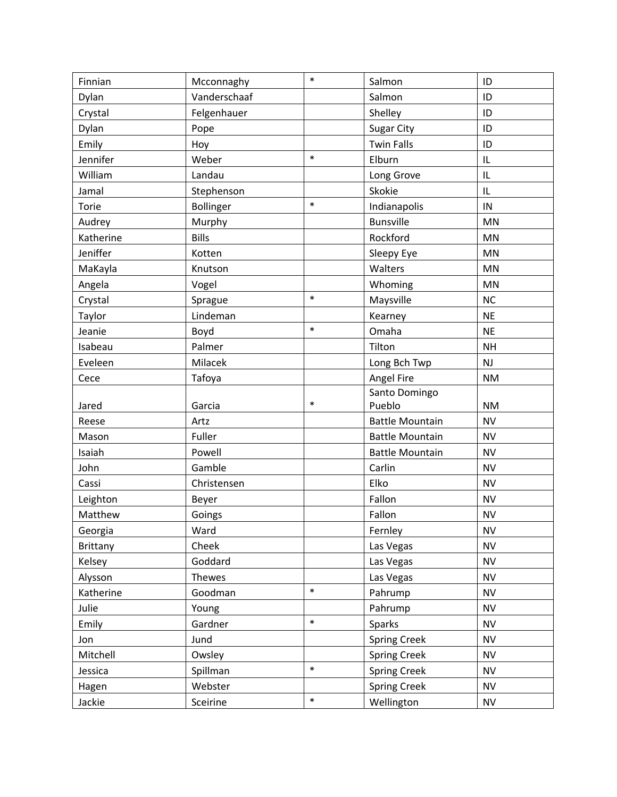| Finnian         | Mcconnaghy   | $\ast$ | Salmon                 | ID        |
|-----------------|--------------|--------|------------------------|-----------|
| Dylan           | Vanderschaaf |        | Salmon                 | ID        |
| Crystal         | Felgenhauer  |        | Shelley                | ID        |
| Dylan           | Pope         |        | <b>Sugar City</b>      | ID        |
| Emily           | Hoy          |        | <b>Twin Falls</b>      | ID        |
| Jennifer        | Weber        | $\ast$ | Elburn                 | IL        |
| William         | Landau       |        | Long Grove             | IL        |
| Jamal           | Stephenson   |        | Skokie                 | IL        |
| Torie           | Bollinger    | $\ast$ | Indianapolis           | IN        |
| Audrey          | Murphy       |        | <b>Bunsville</b>       | <b>MN</b> |
| Katherine       | <b>Bills</b> |        | Rockford               | MN        |
| Jeniffer        | Kotten       |        | Sleepy Eye             | MN        |
| MaKayla         | Knutson      |        | Walters                | MN        |
| Angela          | Vogel        |        | Whoming                | <b>MN</b> |
| Crystal         | Sprague      | $\ast$ | Maysville              | NC        |
| Taylor          | Lindeman     |        | Kearney                | <b>NE</b> |
| Jeanie          | Boyd         | $\ast$ | Omaha                  | <b>NE</b> |
| Isabeau         | Palmer       |        | Tilton                 | <b>NH</b> |
| Eveleen         | Milacek      |        | Long Bch Twp           | NJ        |
| Cece            | Tafoya       |        | Angel Fire             | <b>NM</b> |
|                 |              |        | Santo Domingo          |           |
| Jared           | Garcia       | $\ast$ | Pueblo                 | <b>NM</b> |
| Reese           | Artz         |        | <b>Battle Mountain</b> | <b>NV</b> |
| Mason           | Fuller       |        | <b>Battle Mountain</b> | <b>NV</b> |
| Isaiah          | Powell       |        | <b>Battle Mountain</b> | <b>NV</b> |
| John            | Gamble       |        | Carlin                 | <b>NV</b> |
| Cassi           | Christensen  |        | Elko                   | <b>NV</b> |
| Leighton        | Beyer        |        | Fallon                 | <b>NV</b> |
| Matthew         | Goings       |        | Fallon                 | <b>NV</b> |
| Georgia         | Ward         |        | Fernley                | <b>NV</b> |
| <b>Brittany</b> | Cheek        |        | Las Vegas              | <b>NV</b> |
| Kelsey          | Goddard      |        | Las Vegas              | <b>NV</b> |
| Alysson         | Thewes       |        | Las Vegas              | <b>NV</b> |
| Katherine       | Goodman      | $\ast$ | Pahrump                | <b>NV</b> |
| Julie           | Young        |        | Pahrump                | <b>NV</b> |
| Emily           | Gardner      | $\ast$ | Sparks                 | <b>NV</b> |
| Jon             | Jund         |        | <b>Spring Creek</b>    | <b>NV</b> |
| Mitchell        | Owsley       |        | <b>Spring Creek</b>    | <b>NV</b> |
| Jessica         | Spillman     | $\ast$ | <b>Spring Creek</b>    | <b>NV</b> |
| Hagen           | Webster      |        | <b>Spring Creek</b>    | <b>NV</b> |
|                 |              |        |                        |           |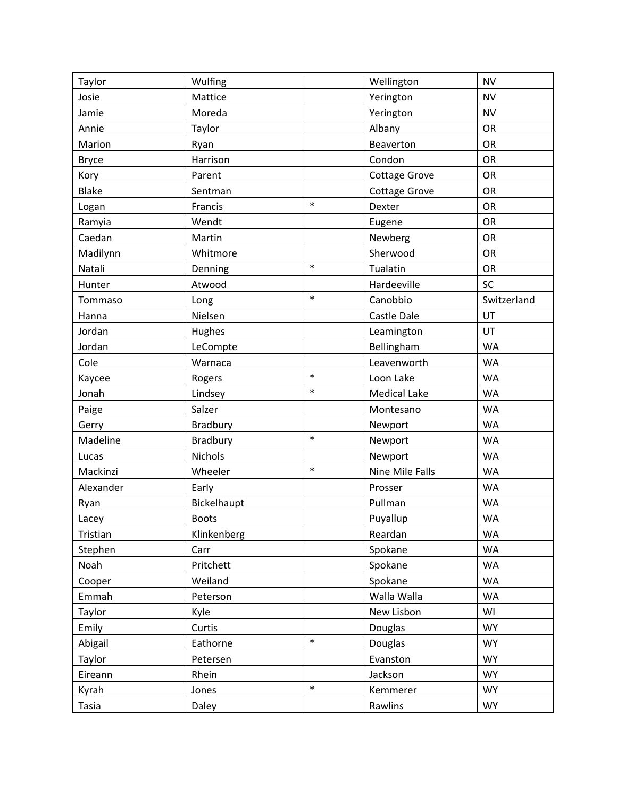| Taylor       | Wulfing         |        | Wellington           | <b>NV</b>   |
|--------------|-----------------|--------|----------------------|-------------|
| Josie        | Mattice         |        | Yerington            | <b>NV</b>   |
| Jamie        | Moreda          |        | Yerington            | <b>NV</b>   |
| Annie        | Taylor          |        | Albany               | OR          |
| Marion       | Ryan            |        | Beaverton            | <b>OR</b>   |
| <b>Bryce</b> | Harrison        |        | Condon               | <b>OR</b>   |
| Kory         | Parent          |        | <b>Cottage Grove</b> | OR          |
| <b>Blake</b> | Sentman         |        | <b>Cottage Grove</b> | OR          |
| Logan        | Francis         | $\ast$ | Dexter               | <b>OR</b>   |
| Ramyia       | Wendt           |        | Eugene               | OR          |
| Caedan       | Martin          |        | Newberg              | OR          |
| Madilynn     | Whitmore        |        | Sherwood             | <b>OR</b>   |
| Natali       | Denning         | $\ast$ | Tualatin             | OR          |
| Hunter       | Atwood          |        | Hardeeville          | SC          |
| Tommaso      | Long            | $\ast$ | Canobbio             | Switzerland |
| Hanna        | Nielsen         |        | Castle Dale          | UT          |
| Jordan       | Hughes          |        | Leamington           | UT          |
| Jordan       | LeCompte        |        | Bellingham           | <b>WA</b>   |
| Cole         | Warnaca         |        | Leavenworth          | <b>WA</b>   |
| Kaycee       | Rogers          | $\ast$ | Loon Lake            | <b>WA</b>   |
| Jonah        | Lindsey         | $\ast$ | <b>Medical Lake</b>  | <b>WA</b>   |
| Paige        | Salzer          |        | Montesano            | <b>WA</b>   |
| Gerry        | <b>Bradbury</b> |        | Newport              | <b>WA</b>   |
| Madeline     | Bradbury        | $\ast$ | Newport              | <b>WA</b>   |
| Lucas        | Nichols         |        | Newport              | <b>WA</b>   |
| Mackinzi     | Wheeler         | $\ast$ | Nine Mile Falls      | <b>WA</b>   |
| Alexander    | Early           |        | Prosser              | <b>WA</b>   |
| Ryan         | Bickelhaupt     |        | Pullman              | <b>WA</b>   |
| Lacey        | <b>Boots</b>    |        | Puyallup             | <b>WA</b>   |
| Tristian     | Klinkenberg     |        | Reardan              | <b>WA</b>   |
| Stephen      | Carr            |        | Spokane              | <b>WA</b>   |
| Noah         | Pritchett       |        | Spokane              | <b>WA</b>   |
| Cooper       | Weiland         |        | Spokane              | WA          |
| Emmah        | Peterson        |        | Walla Walla          | <b>WA</b>   |
| Taylor       | Kyle            |        | New Lisbon           | WI          |
| Emily        | Curtis          |        | Douglas              | <b>WY</b>   |
| Abigail      | Eathorne        | $\ast$ | Douglas              | <b>WY</b>   |
| Taylor       | Petersen        |        | Evanston             | <b>WY</b>   |
| Eireann      | Rhein           |        | Jackson              | <b>WY</b>   |
| Kyrah        | Jones           | $\ast$ | Kemmerer             | <b>WY</b>   |
| Tasia        | Daley           |        | Rawlins              | <b>WY</b>   |